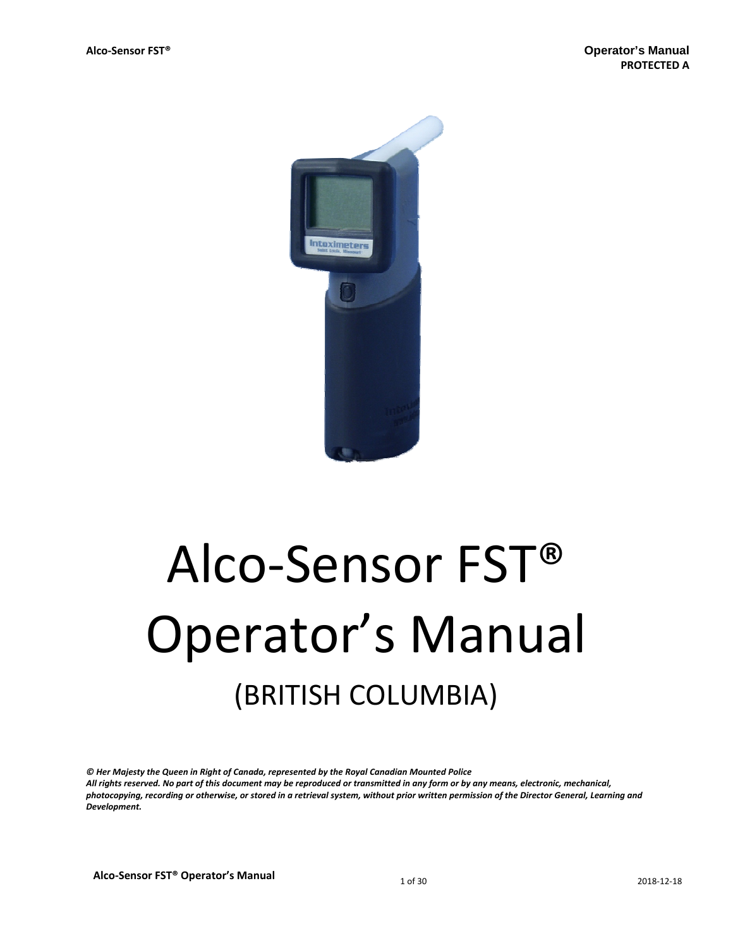

# Alco‐Sensor FST® Operator's Manual (BRITISH COLUMBIA)

*© Her Majesty the Queen in Right of Canada, represented by the Royal Canadian Mounted Police* All rights reserved. No part of this document may be reproduced or transmitted in any form or by any means, electronic, mechanical, photocopying, recording or otherwise, or stored in a retrieval system, without prior written permission of the Director General, Learning and *Development.*

**Alco-Sensor FST® Operator's Manual** 1 of 30 2018-12-18 2018-12-18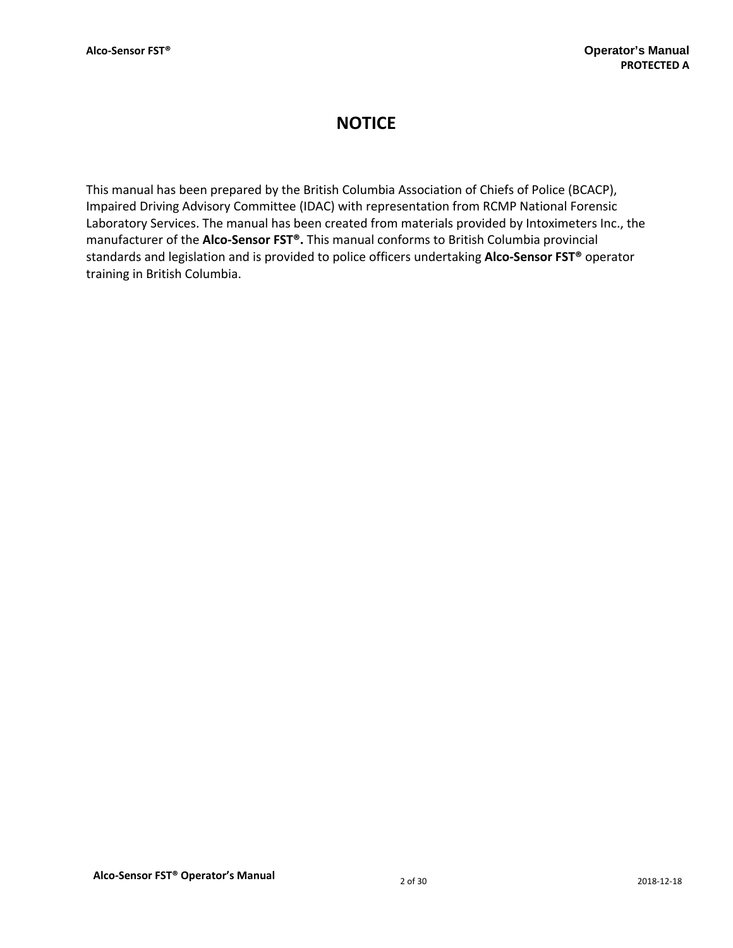## **NOTICE**

This manual has been prepared by the British Columbia Association of Chiefs of Police (BCACP), Impaired Driving Advisory Committee (IDAC) with representation from RCMP National Forensic Laboratory Services. The manual has been created from materials provided by Intoximeters Inc., the manufacturer of the **Alco‐Sensor FST®.** This manual conforms to British Columbia provincial standards and legislation and is provided to police officers undertaking **Alco‐Sensor FST®** operator training in British Columbia.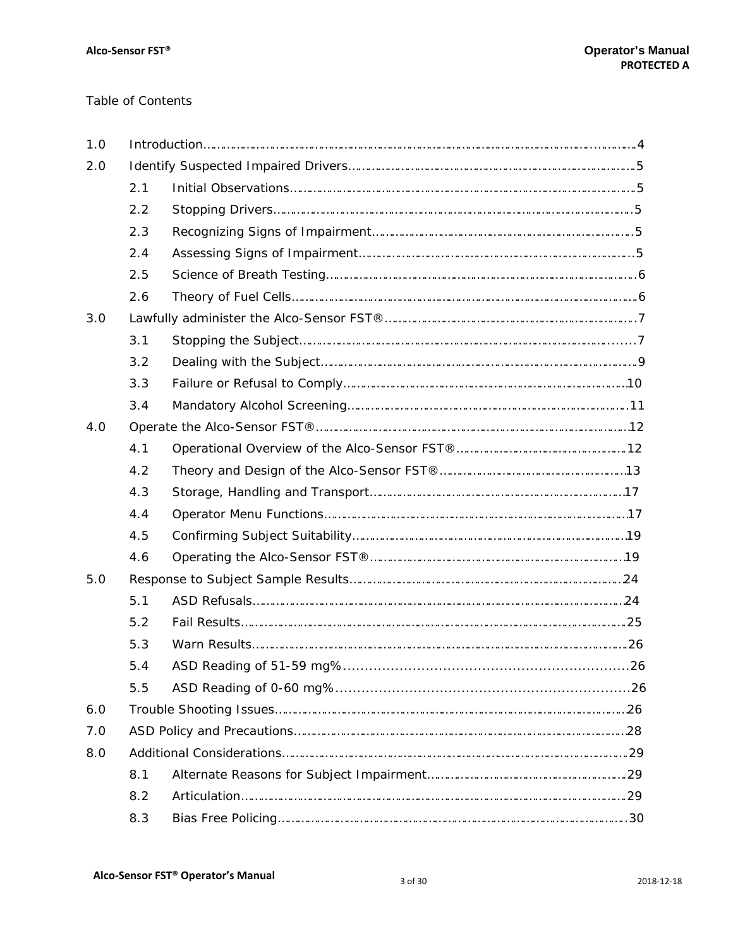## Table of Contents

| 1.0 |     |  |  |
|-----|-----|--|--|
| 2.0 |     |  |  |
|     | 2.1 |  |  |
|     | 2.2 |  |  |
|     | 2.3 |  |  |
|     | 2.4 |  |  |
|     | 2.5 |  |  |
|     | 2.6 |  |  |
| 3.0 |     |  |  |
|     | 3.1 |  |  |
|     | 3.2 |  |  |
|     | 3.3 |  |  |
|     | 3.4 |  |  |
| 4.0 |     |  |  |
|     | 4.1 |  |  |
|     | 4.2 |  |  |
|     | 4.3 |  |  |
|     | 4.4 |  |  |
|     | 4.5 |  |  |
|     | 4.6 |  |  |
| 5.0 |     |  |  |
|     | 5.1 |  |  |
|     | 5.2 |  |  |
|     | 5.3 |  |  |
|     | 5.4 |  |  |
|     | 5.5 |  |  |
| 6.0 |     |  |  |
| 7.0 |     |  |  |
| 8.0 |     |  |  |
|     | 8.1 |  |  |
|     | 8.2 |  |  |
|     | 8.3 |  |  |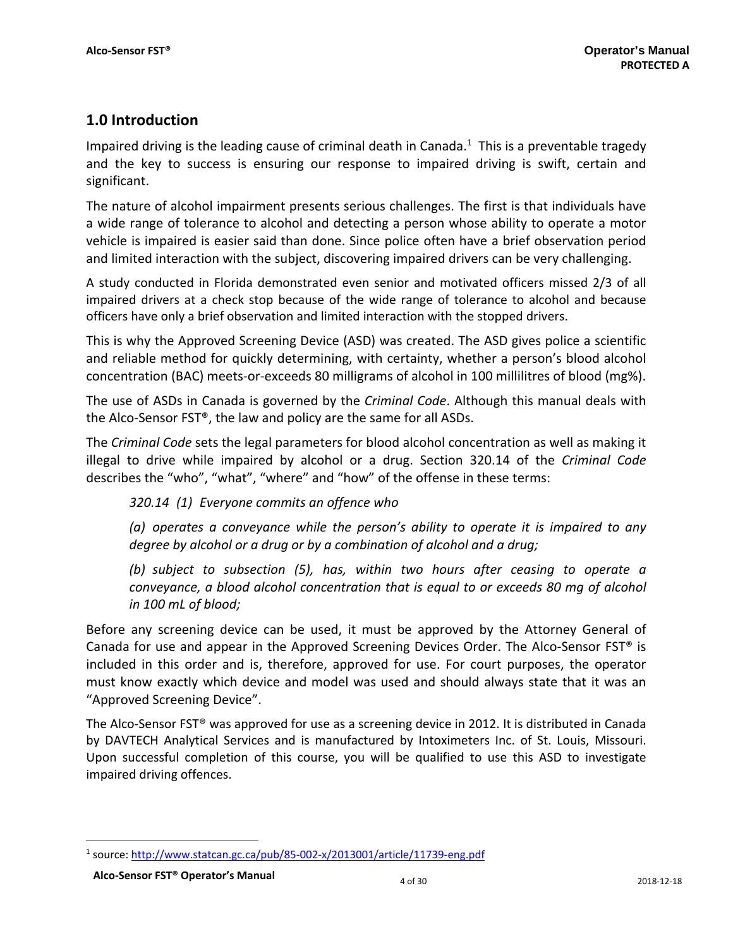## **1.0 Introduction**

Impaired driving is the leading cause of criminal death in Canada.<sup>1</sup> This is a preventable tragedy and the key to success is ensuring our response to impaired driving is swift, certain and significant.

The nature of alcohol impairment presents serious challenges. The first is that individuals have a wide range of tolerance to alcohol and detecting a person whose ability to operate a motor vehicle is impaired is easier said than done. Since police often have a brief observation period and limited interaction with the subject, discovering impaired drivers can be very challenging.

A study conducted in Florida demonstrated even senior and motivated officers missed 2/3 of all impaired drivers at a check stop because of the wide range of tolerance to alcohol and because officers have only a brief observation and limited interaction with the stopped drivers.

This is why the Approved Screening Device (ASD) was created. The ASD gives police a scientific and reliable method for quickly determining, with certainty, whether a person's blood alcohol concentration (BAC) meets‐or‐exceeds 80 milligrams of alcohol in 100 millilitres of blood (mg%).

The use of ASDs in Canada is governed by the *Criminal Code*. Although this manual deals with the Alco‐Sensor FST®, the law and policy are the same for all ASDs.

The *Criminal Code* sets the legal parameters for blood alcohol concentration as well as making it illegal to drive while impaired by alcohol or a drug. Section 320.14 of the *Criminal Code* describes the "who", "what", "where" and "how" of the offense in these terms:

*320.14 (1) Everyone commits an offence who*

*(a) operates a conveyance while the person's ability to operate it is impaired to any degree by alcohol or a drug or by a combination of alcohol and a drug;*

*(b) subject to subsection (5), has, within two hours after ceasing to operate a conveyance, a blood alcohol concentration that is equal to or exceeds 80 mg of alcohol in 100 mL of blood;*

Before any screening device can be used, it must be approved by the Attorney General of Canada for use and appear in the Approved Screening Devices Order. The Alco‐Sensor FST® is included in this order and is, therefore, approved for use. For court purposes, the operator must know exactly which device and model was used and should always state that it was an "Approved Screening Device".

The Alco‐Sensor FST® was approved for use as a screening device in 2012. It is distributed in Canada by DAVTECH Analytical Services and is manufactured by Intoximeters Inc. of St. Louis, Missouri. Upon successful completion of this course, you will be qualified to use this ASD to investigate impaired driving offences.

1

<sup>1</sup> source: http://www.statcan.gc.ca/pub/85‐002‐x/2013001/article/11739‐eng.pdf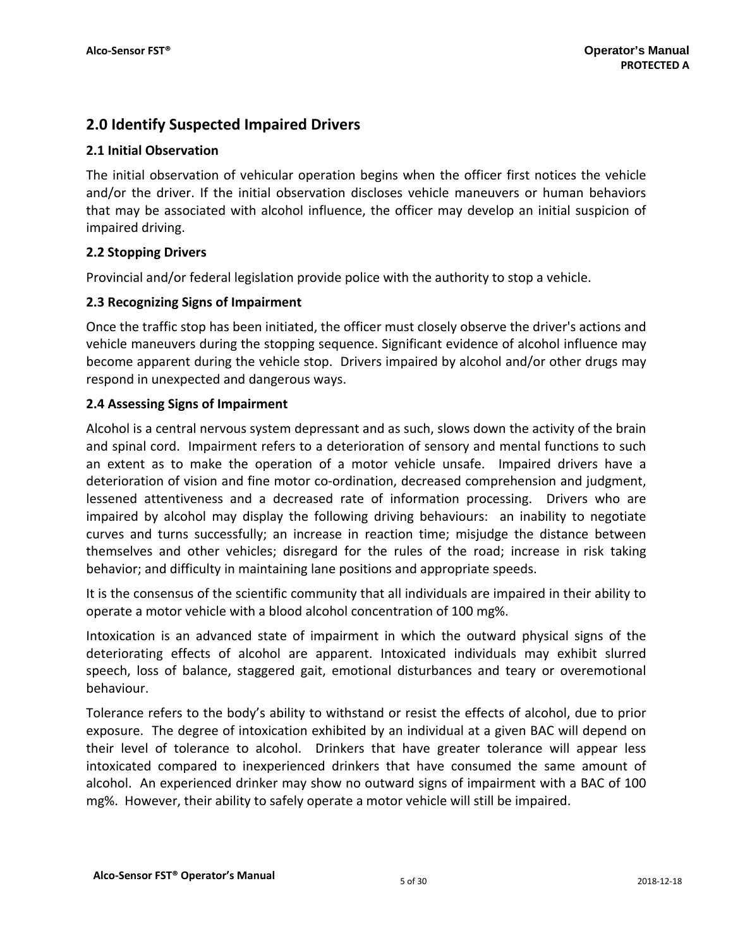## **2.0 Identify Suspected Impaired Drivers**

## **2.1 Initial Observation**

The initial observation of vehicular operation begins when the officer first notices the vehicle and/or the driver. If the initial observation discloses vehicle maneuvers or human behaviors that may be associated with alcohol influence, the officer may develop an initial suspicion of impaired driving.

## **2.2 Stopping Drivers**

Provincial and/or federal legislation provide police with the authority to stop a vehicle.

## **2.3 Recognizing Signs of Impairment**

Once the traffic stop has been initiated, the officer must closely observe the driver's actions and vehicle maneuvers during the stopping sequence. Significant evidence of alcohol influence may become apparent during the vehicle stop. Drivers impaired by alcohol and/or other drugs may respond in unexpected and dangerous ways.

## **2.4 Assessing Signs of Impairment**

Alcohol is a central nervous system depressant and as such, slows down the activity of the brain and spinal cord. Impairment refers to a deterioration of sensory and mental functions to such an extent as to make the operation of a motor vehicle unsafe. Impaired drivers have a deterioration of vision and fine motor co-ordination, decreased comprehension and judgment, lessened attentiveness and a decreased rate of information processing. Drivers who are impaired by alcohol may display the following driving behaviours: an inability to negotiate curves and turns successfully; an increase in reaction time; misjudge the distance between themselves and other vehicles; disregard for the rules of the road; increase in risk taking behavior; and difficulty in maintaining lane positions and appropriate speeds.

It is the consensus of the scientific community that all individuals are impaired in their ability to operate a motor vehicle with a blood alcohol concentration of 100 mg%.

Intoxication is an advanced state of impairment in which the outward physical signs of the deteriorating effects of alcohol are apparent. Intoxicated individuals may exhibit slurred speech, loss of balance, staggered gait, emotional disturbances and teary or overemotional behaviour.

Tolerance refers to the body's ability to withstand or resist the effects of alcohol, due to prior exposure. The degree of intoxication exhibited by an individual at a given BAC will depend on their level of tolerance to alcohol. Drinkers that have greater tolerance will appear less intoxicated compared to inexperienced drinkers that have consumed the same amount of alcohol. An experienced drinker may show no outward signs of impairment with a BAC of 100 mg%. However, their ability to safely operate a motor vehicle will still be impaired.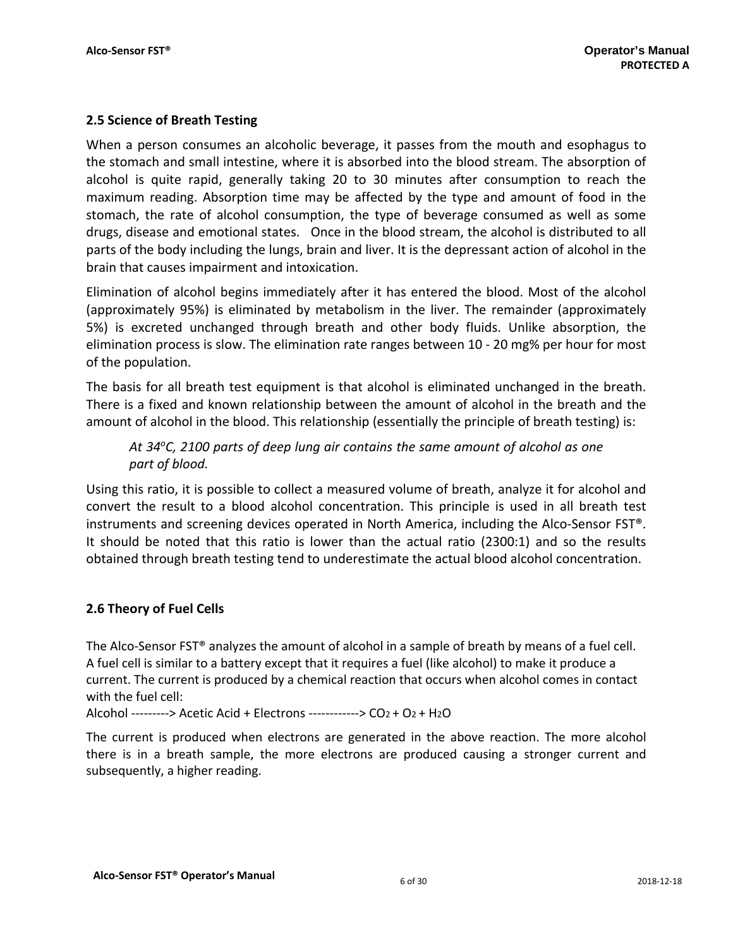## **2.5 Science of Breath Testing**

When a person consumes an alcoholic beverage, it passes from the mouth and esophagus to the stomach and small intestine, where it is absorbed into the blood stream. The absorption of alcohol is quite rapid, generally taking 20 to 30 minutes after consumption to reach the maximum reading. Absorption time may be affected by the type and amount of food in the stomach, the rate of alcohol consumption, the type of beverage consumed as well as some drugs, disease and emotional states. Once in the blood stream, the alcohol is distributed to all parts of the body including the lungs, brain and liver. It is the depressant action of alcohol in the brain that causes impairment and intoxication.

Elimination of alcohol begins immediately after it has entered the blood. Most of the alcohol (approximately 95%) is eliminated by metabolism in the liver. The remainder (approximately 5%) is excreted unchanged through breath and other body fluids. Unlike absorption, the elimination process is slow. The elimination rate ranges between 10 ‐ 20 mg% per hour for most of the population.

The basis for all breath test equipment is that alcohol is eliminated unchanged in the breath. There is a fixed and known relationship between the amount of alcohol in the breath and the amount of alcohol in the blood. This relationship (essentially the principle of breath testing) is:

*At 34oC, 2100 parts of deep lung air contains the same amount of alcohol as one part of blood.*

Using this ratio, it is possible to collect a measured volume of breath, analyze it for alcohol and convert the result to a blood alcohol concentration. This principle is used in all breath test instruments and screening devices operated in North America, including the Alco‐Sensor FST®. It should be noted that this ratio is lower than the actual ratio (2300:1) and so the results obtained through breath testing tend to underestimate the actual blood alcohol concentration.

## **2.6 Theory of Fuel Cells**

The Alco-Sensor FST® analyzes the amount of alcohol in a sample of breath by means of a fuel cell. A fuel cell is similar to a battery except that it requires a fuel (like alcohol) to make it produce a current. The current is produced by a chemical reaction that occurs when alcohol comes in contact with the fuel cell:

Alcohol ‐‐‐‐‐‐‐‐‐> Acetic Acid + Electrons ‐‐‐‐‐‐‐‐‐‐‐‐> CO2 + O2 + H2O

The current is produced when electrons are generated in the above reaction. The more alcohol there is in a breath sample, the more electrons are produced causing a stronger current and subsequently, a higher reading.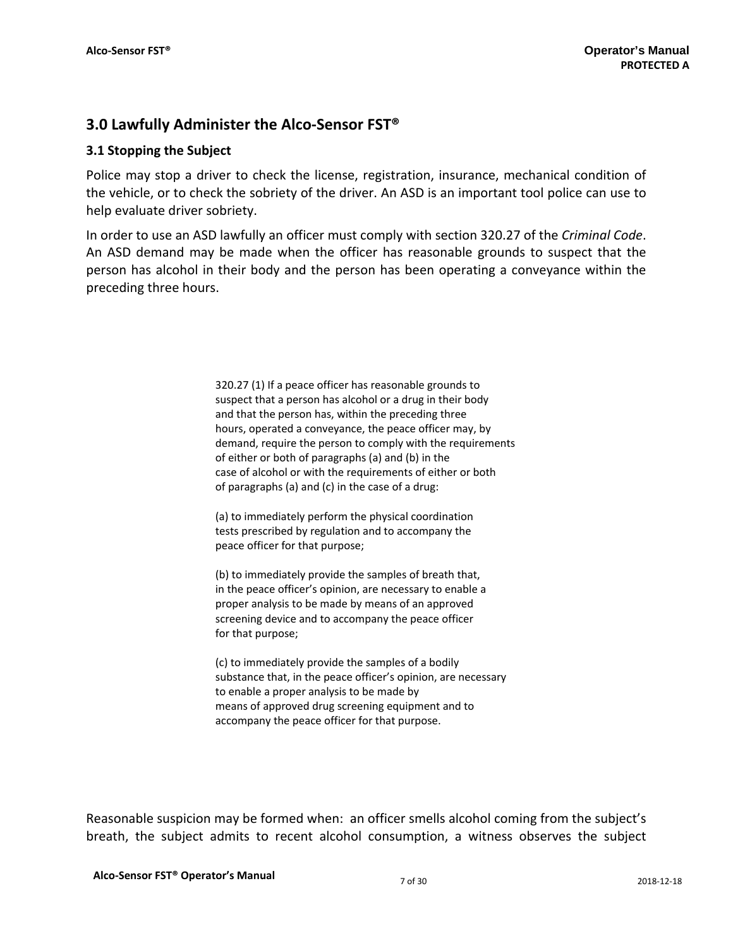## **3.0 Lawfully Administer the Alco‐Sensor FST®**

## **3.1 Stopping the Subject**

Police may stop a driver to check the license, registration, insurance, mechanical condition of the vehicle, or to check the sobriety of the driver. An ASD is an important tool police can use to help evaluate driver sobriety.

In order to use an ASD lawfully an officer must comply with section 320.27 of the *Criminal Code*. An ASD demand may be made when the officer has reasonable grounds to suspect that the person has alcohol in their body and the person has been operating a conveyance within the preceding three hours.

> 320.27 (1) If a peace officer has reasonable grounds to suspect that a person has alcohol or a drug in their body and that the person has, within the preceding three hours, operated a conveyance, the peace officer may, by demand, require the person to comply with the requirements of either or both of paragraphs (a) and (b) in the case of alcohol or with the requirements of either or both of paragraphs (a) and (c) in the case of a drug:

(a) to immediately perform the physical coordination tests prescribed by regulation and to accompany the peace officer for that purpose;

(b) to immediately provide the samples of breath that, in the peace officer's opinion, are necessary to enable a proper analysis to be made by means of an approved screening device and to accompany the peace officer for that purpose;

(c) to immediately provide the samples of a bodily substance that, in the peace officer's opinion, are necessary to enable a proper analysis to be made by means of approved drug screening equipment and to accompany the peace officer for that purpose.

Reasonable suspicion may be formed when: an officer smells alcohol coming from the subject's breath, the subject admits to recent alcohol consumption, a witness observes the subject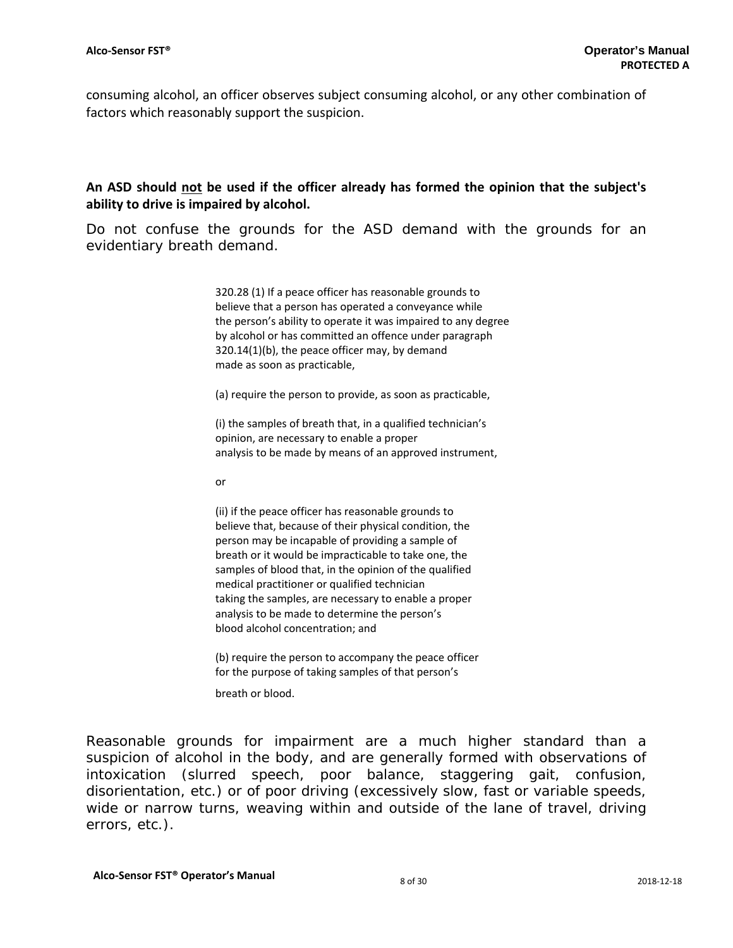consuming alcohol, an officer observes subject consuming alcohol, or any other combination of factors which reasonably support the suspicion.

## **An ASD should not be used if the officer already has formed the opinion that the subject's ability to drive is impaired by alcohol.**

Do not confuse the grounds for the ASD demand with the grounds for an evidentiary breath demand.

> 320.28 (1) If a peace officer has reasonable grounds to believe that a person has operated a conveyance while the person's ability to operate it was impaired to any degree by alcohol or has committed an offence under paragraph 320.14(1)(b), the peace officer may, by demand made as soon as practicable,

(a) require the person to provide, as soon as practicable,

(i) the samples of breath that, in a qualified technician's opinion, are necessary to enable a proper analysis to be made by means of an approved instrument,

or

(ii) if the peace officer has reasonable grounds to believe that, because of their physical condition, the person may be incapable of providing a sample of breath or it would be impracticable to take one, the samples of blood that, in the opinion of the qualified medical practitioner or qualified technician taking the samples, are necessary to enable a proper analysis to be made to determine the person's blood alcohol concentration; and

(b) require the person to accompany the peace officer for the purpose of taking samples of that person's

breath or blood.

Reasonable grounds for impairment are a much higher standard than a suspicion of alcohol in the body, and are generally formed with observations of intoxication (slurred speech, poor balance, staggering gait, confusion, disorientation, etc.) or of poor driving (excessively slow, fast or variable speeds, wide or narrow turns, weaving within and outside of the lane of travel, driving errors, etc.).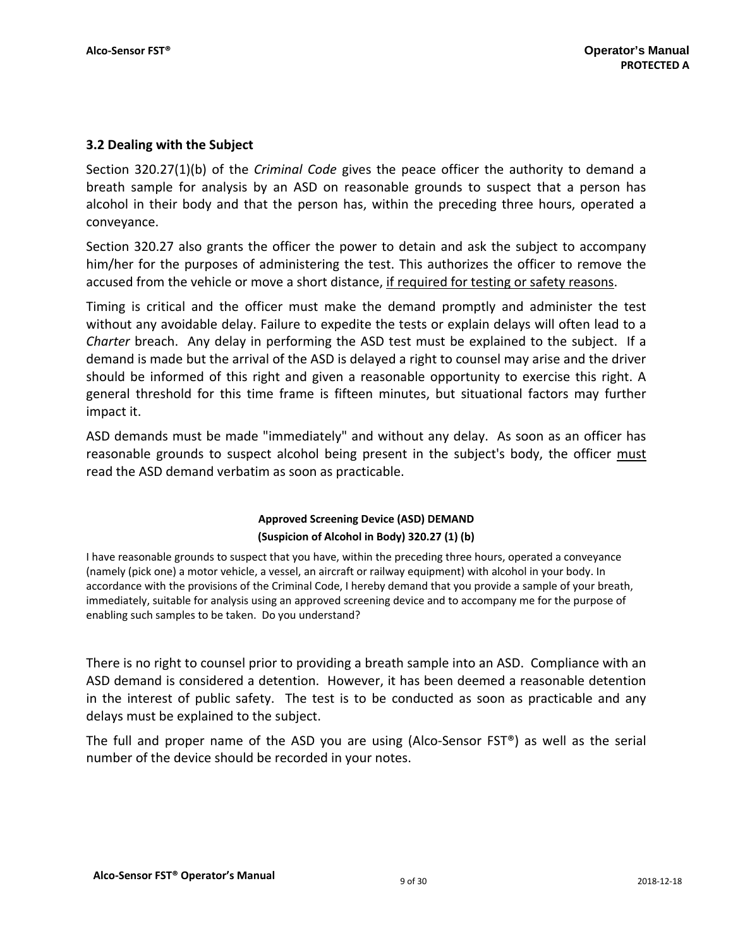## **3.2 Dealing with the Subject**

Section 320.27(1)(b) of the *Criminal Code* gives the peace officer the authority to demand a breath sample for analysis by an ASD on reasonable grounds to suspect that a person has alcohol in their body and that the person has, within the preceding three hours, operated a conveyance.

Section 320.27 also grants the officer the power to detain and ask the subject to accompany him/her for the purposes of administering the test. This authorizes the officer to remove the accused from the vehicle or move a short distance, if required for testing or safety reasons.

Timing is critical and the officer must make the demand promptly and administer the test without any avoidable delay. Failure to expedite the tests or explain delays will often lead to a *Charter* breach. Any delay in performing the ASD test must be explained to the subject. If a demand is made but the arrival of the ASD is delayed a right to counsel may arise and the driver should be informed of this right and given a reasonable opportunity to exercise this right. A general threshold for this time frame is fifteen minutes, but situational factors may further impact it.

ASD demands must be made "immediately" and without any delay. As soon as an officer has reasonable grounds to suspect alcohol being present in the subject's body, the officer must read the ASD demand verbatim as soon as practicable.

## **Approved Screening Device (ASD) DEMAND (Suspicion of Alcohol in Body) 320.27 (1) (b)**

I have reasonable grounds to suspect that you have, within the preceding three hours, operated a conveyance (namely (pick one) a motor vehicle, a vessel, an aircraft or railway equipment) with alcohol in your body. In accordance with the provisions of the Criminal Code, I hereby demand that you provide a sample of your breath, immediately, suitable for analysis using an approved screening device and to accompany me for the purpose of enabling such samples to be taken. Do you understand?

There is no right to counsel prior to providing a breath sample into an ASD. Compliance with an ASD demand is considered a detention. However, it has been deemed a reasonable detention in the interest of public safety. The test is to be conducted as soon as practicable and any delays must be explained to the subject.

The full and proper name of the ASD you are using (Alco-Sensor  $FST^{\circledast}$ ) as well as the serial number of the device should be recorded in your notes.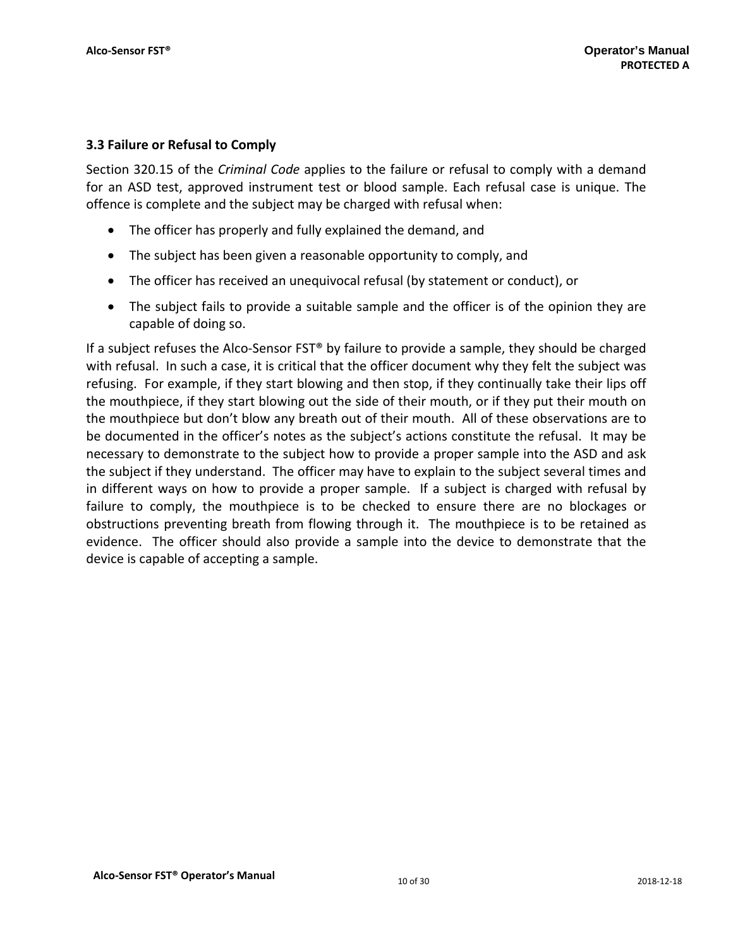## **3.3 Failure or Refusal to Comply**

Section 320.15 of the *Criminal Code* applies to the failure or refusal to comply with a demand for an ASD test, approved instrument test or blood sample. Each refusal case is unique. The offence is complete and the subject may be charged with refusal when:

- The officer has properly and fully explained the demand, and
- The subject has been given a reasonable opportunity to comply, and
- The officer has received an unequivocal refusal (by statement or conduct), or
- The subject fails to provide a suitable sample and the officer is of the opinion they are capable of doing so.

If a subject refuses the Alco-Sensor FST® by failure to provide a sample, they should be charged with refusal. In such a case, it is critical that the officer document why they felt the subject was refusing. For example, if they start blowing and then stop, if they continually take their lips off the mouthpiece, if they start blowing out the side of their mouth, or if they put their mouth on the mouthpiece but don't blow any breath out of their mouth. All of these observations are to be documented in the officer's notes as the subject's actions constitute the refusal. It may be necessary to demonstrate to the subject how to provide a proper sample into the ASD and ask the subject if they understand. The officer may have to explain to the subject several times and in different ways on how to provide a proper sample. If a subject is charged with refusal by failure to comply, the mouthpiece is to be checked to ensure there are no blockages or obstructions preventing breath from flowing through it. The mouthpiece is to be retained as evidence. The officer should also provide a sample into the device to demonstrate that the device is capable of accepting a sample.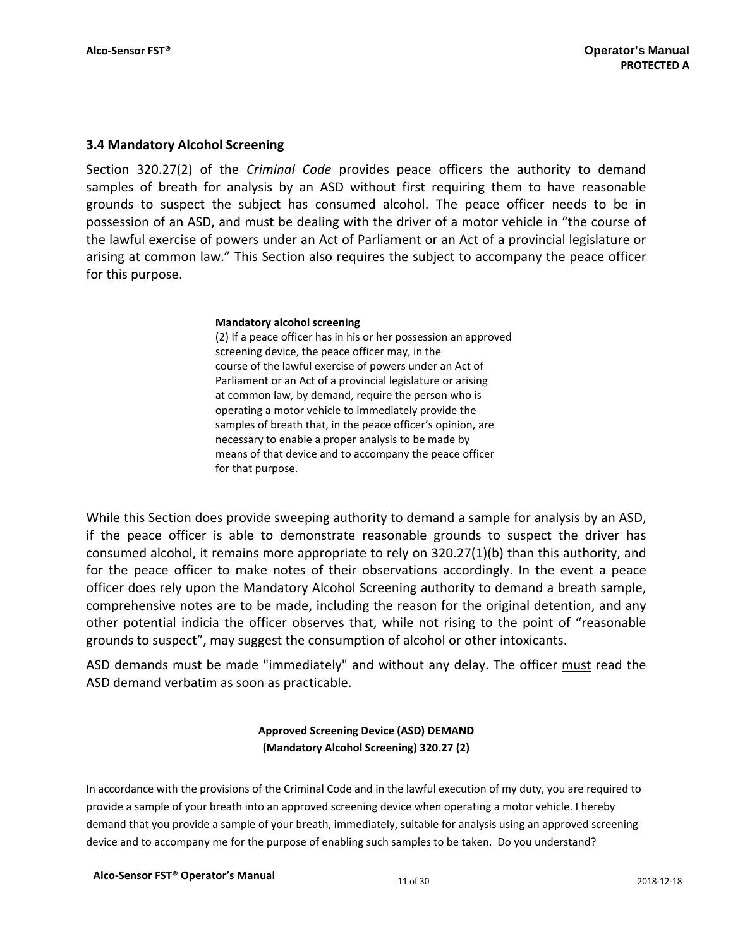## **3.4 Mandatory Alcohol Screening**

Section 320.27(2) of the *Criminal Code* provides peace officers the authority to demand samples of breath for analysis by an ASD without first requiring them to have reasonable grounds to suspect the subject has consumed alcohol. The peace officer needs to be in possession of an ASD, and must be dealing with the driver of a motor vehicle in "the course of the lawful exercise of powers under an Act of Parliament or an Act of a provincial legislature or arising at common law." This Section also requires the subject to accompany the peace officer for this purpose.

#### **Mandatory alcohol screening**

(2) If a peace officer has in his or her possession an approved screening device, the peace officer may, in the course of the lawful exercise of powers under an Act of Parliament or an Act of a provincial legislature or arising at common law, by demand, require the person who is operating a motor vehicle to immediately provide the samples of breath that, in the peace officer's opinion, are necessary to enable a proper analysis to be made by means of that device and to accompany the peace officer for that purpose.

While this Section does provide sweeping authority to demand a sample for analysis by an ASD, if the peace officer is able to demonstrate reasonable grounds to suspect the driver has consumed alcohol, it remains more appropriate to rely on 320.27(1)(b) than this authority, and for the peace officer to make notes of their observations accordingly. In the event a peace officer does rely upon the Mandatory Alcohol Screening authority to demand a breath sample, comprehensive notes are to be made, including the reason for the original detention, and any other potential indicia the officer observes that, while not rising to the point of "reasonable grounds to suspect", may suggest the consumption of alcohol or other intoxicants.

ASD demands must be made "immediately" and without any delay. The officer must read the ASD demand verbatim as soon as practicable.

## **Approved Screening Device (ASD) DEMAND (Mandatory Alcohol Screening) 320.27 (2)**

In accordance with the provisions of the Criminal Code and in the lawful execution of my duty, you are required to provide a sample of your breath into an approved screening device when operating a motor vehicle. I hereby demand that you provide a sample of your breath, immediately, suitable for analysis using an approved screening device and to accompany me for the purpose of enabling such samples to be taken. Do you understand?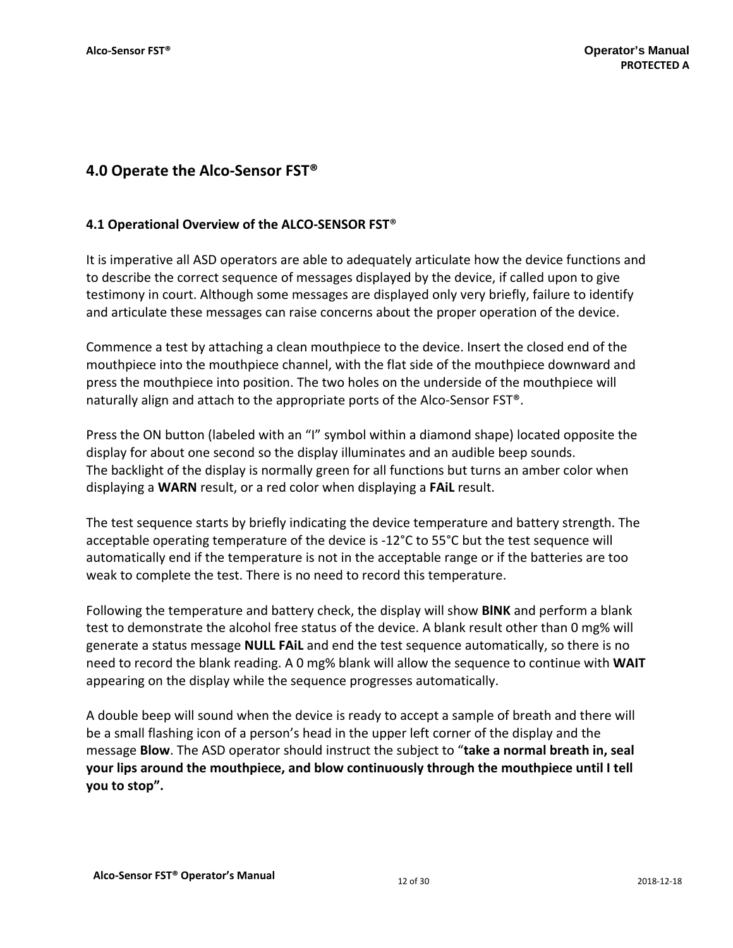## **4.0 Operate the Alco‐Sensor FST®**

## **4.1 Operational Overview of the ALCO‐SENSOR FST**®

It is imperative all ASD operators are able to adequately articulate how the device functions and to describe the correct sequence of messages displayed by the device, if called upon to give testimony in court. Although some messages are displayed only very briefly, failure to identify and articulate these messages can raise concerns about the proper operation of the device.

Commence a test by attaching a clean mouthpiece to the device. Insert the closed end of the mouthpiece into the mouthpiece channel, with the flat side of the mouthpiece downward and press the mouthpiece into position. The two holes on the underside of the mouthpiece will naturally align and attach to the appropriate ports of the Alco‐Sensor FST®.

Press the ON button (labeled with an "I" symbol within a diamond shape) located opposite the display for about one second so the display illuminates and an audible beep sounds. The backlight of the display is normally green for all functions but turns an amber color when displaying a **WARN** result, or a red color when displaying a **FAiL** result.

The test sequence starts by briefly indicating the device temperature and battery strength. The acceptable operating temperature of the device is ‐12°C to 55°C but the test sequence will automatically end if the temperature is not in the acceptable range or if the batteries are too weak to complete the test. There is no need to record this temperature.

Following the temperature and battery check, the display will show **BlNK** and perform a blank test to demonstrate the alcohol free status of the device. A blank result other than 0 mg% will generate a status message **NULL FAiL** and end the test sequence automatically, so there is no need to record the blank reading. A 0 mg% blank will allow the sequence to continue with **WAIT** appearing on the display while the sequence progresses automatically.

A double beep will sound when the device is ready to accept a sample of breath and there will be a small flashing icon of a person's head in the upper left corner of the display and the message **Blow**. The ASD operator should instruct the subject to "**take a normal breath in, seal your lips around the mouthpiece, and blow continuously through the mouthpiece until I tell you to stop".**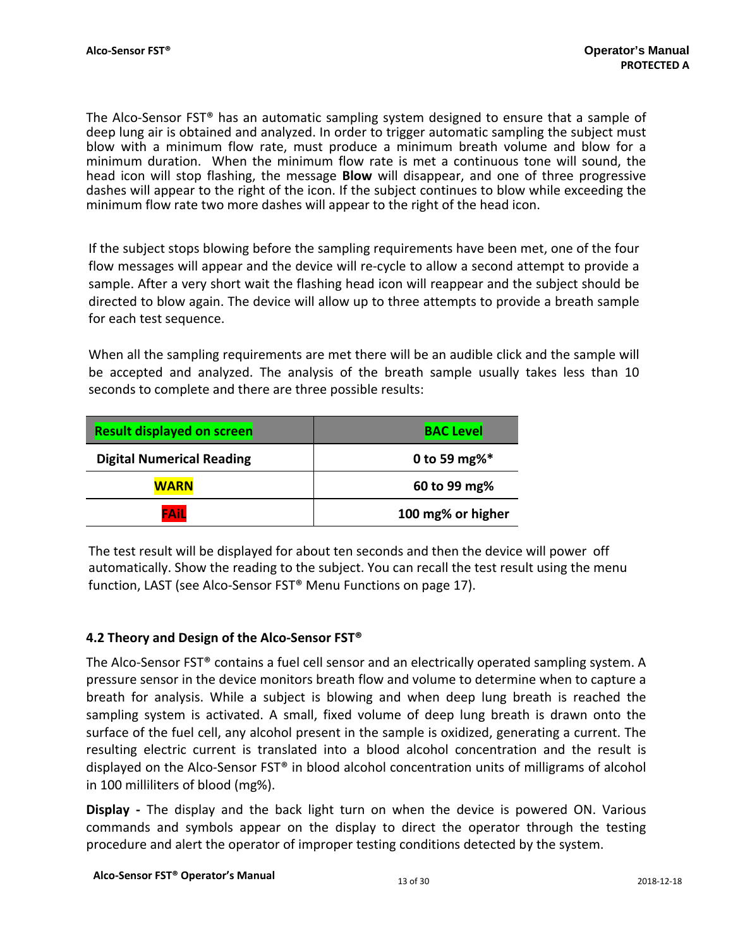The Alco-Sensor FST<sup>®</sup> has an automatic sampling system designed to ensure that a sample of deep lung air is obtained and analyzed. In order to trigger automatic sampling the subject must blow with a minimum flow rate, must produce a minimum breath volume and blow for a minimum duration. When the minimum flow rate is met a continuous tone will sound, the head icon will stop flashing, the message **Blow** will disappear, and one of three progressive dashes will appear to the right of the icon. If the subject continues to blow while exceeding the minimum flow rate two more dashes will appear to the right of the head icon.

If the subject stops blowing before the sampling requirements have been met, one of the four flow messages will appear and the device will re-cycle to allow a second attempt to provide a sample. After a very short wait the flashing head icon will reappear and the subject should be directed to blow again. The device will allow up to three attempts to provide a breath sample for each test sequence.

When all the sampling requirements are met there will be an audible click and the sample will be accepted and analyzed. The analysis of the breath sample usually takes less than 10 seconds to complete and there are three possible results:

| <b>Result displayed on screen</b> | BAC Level         |  |
|-----------------------------------|-------------------|--|
| <b>Digital Numerical Reading</b>  | 0 to 59 mg% $*$   |  |
| <b>WARN</b>                       | 60 to 99 mg%      |  |
| FAIL                              | 100 mg% or higher |  |

The test result will be displayed for about ten seconds and then the device will power off automatically. Show the reading to the subject. You can recall the test result using the menu function, LAST (see Alco-Sensor FST<sup>®</sup> Menu Functions on page 17).

## **4.2 Theory and Design of the Alco‐Sensor FST®**

The Alco-Sensor FST<sup>®</sup> contains a fuel cell sensor and an electrically operated sampling system. A pressure sensor in the device monitors breath flow and volume to determine when to capture a breath for analysis. While a subject is blowing and when deep lung breath is reached the sampling system is activated. A small, fixed volume of deep lung breath is drawn onto the surface of the fuel cell, any alcohol present in the sample is oxidized, generating a current. The resulting electric current is translated into a blood alcohol concentration and the result is displayed on the Alco‐Sensor FST® in blood alcohol concentration units of milligrams of alcohol in 100 milliliters of blood (mg%).

**Display** - The display and the back light turn on when the device is powered ON. Various commands and symbols appear on the display to direct the operator through the testing procedure and alert the operator of improper testing conditions detected by the system.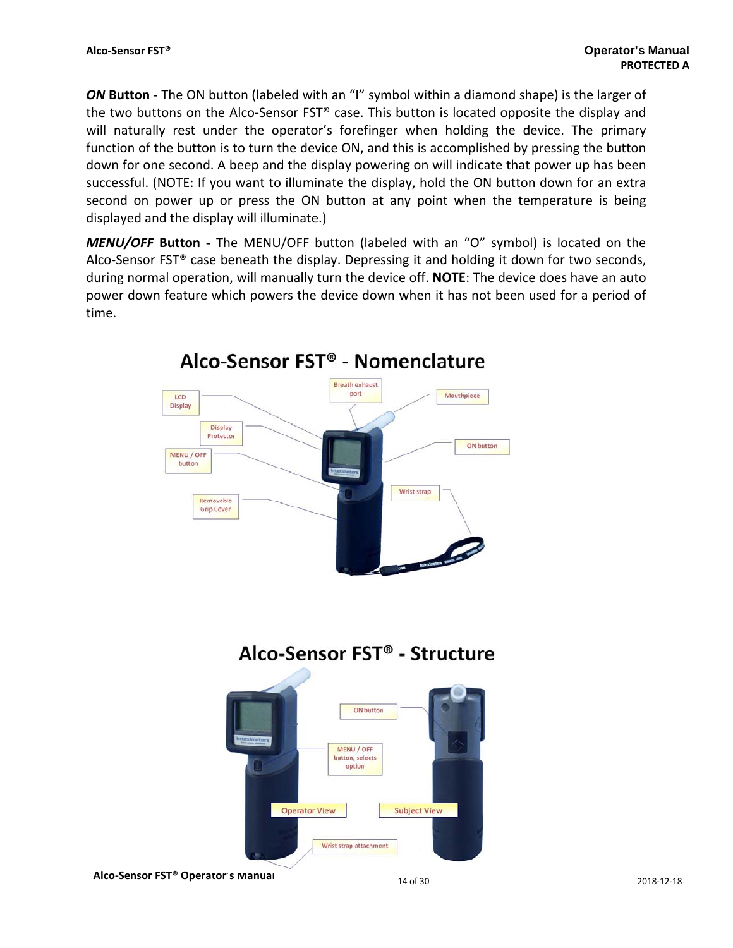**ON Button** - The ON button (labeled with an "I" symbol within a diamond shape) is the larger of the two buttons on the Alco-Sensor FST® case. This button is located opposite the display and will naturally rest under the operator's forefinger when holding the device. The primary function of the button is to turn the device ON, and this is accomplished by pressing the button down for one second. A beep and the display powering on will indicate that power up has been successful. (NOTE: If you want to illuminate the display, hold the ON button down for an extra second on power up or press the ON button at any point when the temperature is being displayed and the display will illuminate.)

*MENU/OFF* **Button ‐**  The MENU/OFF button (labeled with an "O" symbol) is located on the Alco-Sensor  $FST^{\circ}$  case beneath the display. Depressing it and holding it down for two seconds, during normal operation, will manually turn the device off. **NOTE**: The device does have an auto power down feature which powers the device down when it has not been used for a period of time.



## Alco-Sensor FST<sup>®</sup> - Nomenclature

Alco-Sensor FST<sup>®</sup> - Structure

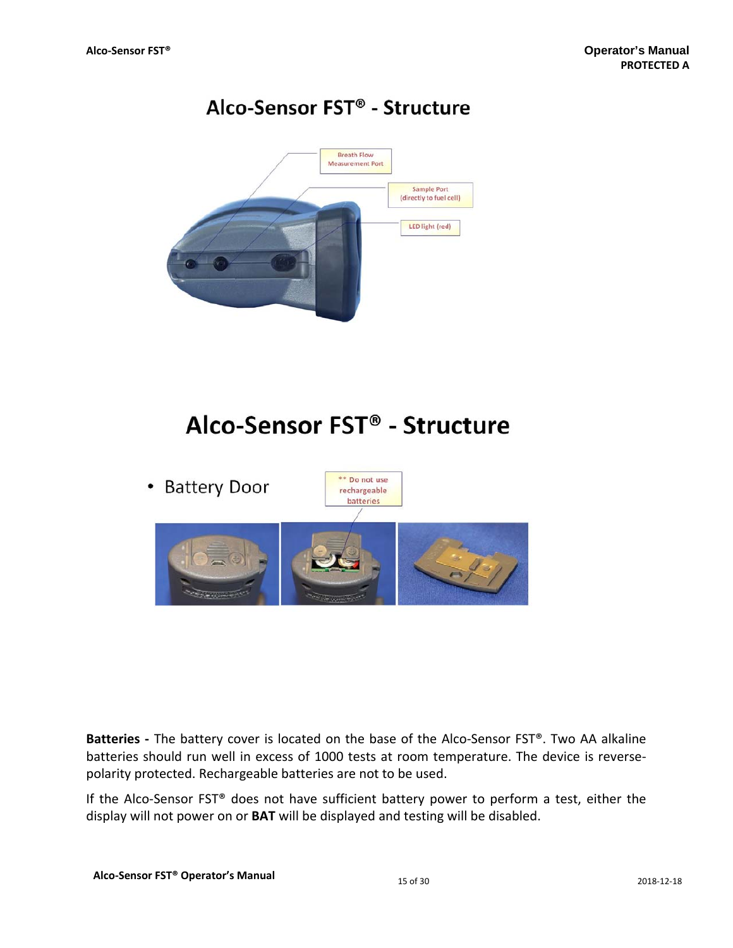## Alco-Sensor FST<sup>®</sup> - Structure



## Alco-Sensor FST<sup>®</sup> - Structure



Batteries - The battery cover is located on the base of the Alco-Sensor FST®. Two AA alkaline batteries should run well in excess of 1000 tests at room temperature. The device is reverse‐ polarity protected. Rechargeable batteries are not to be used.

If the Alco-Sensor FST® does not have sufficient battery power to perform a test, either the display will not power on or **BAT** will be displayed and testing will be disabled.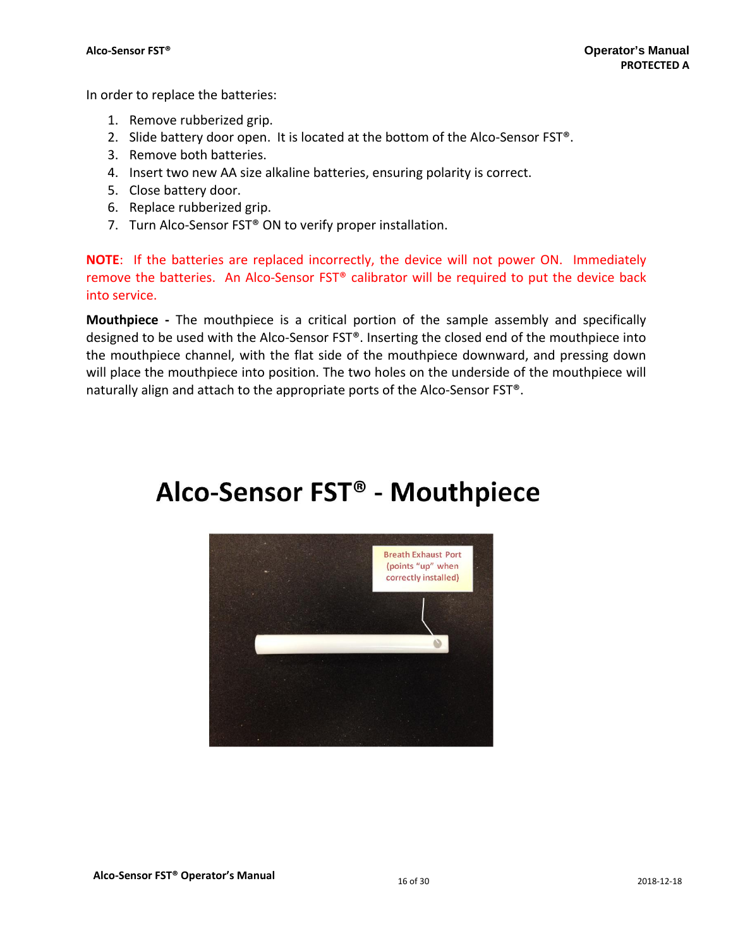In order to replace the batteries:

- 1. Remove rubberized grip.
- 2. Slide battery door open. It is located at the bottom of the Alco-Sensor FST®.
- 3. Remove both batteries.
- 4. Insert two new AA size alkaline batteries, ensuring polarity is correct.
- 5. Close battery door.
- 6. Replace rubberized grip.
- 7. Turn Alco-Sensor FST<sup>®</sup> ON to verify proper installation.

**NOTE**: If the batteries are replaced incorrectly, the device will not power ON. Immediately remove the batteries. An Alco‐Sensor FST® calibrator will be required to put the device back into service.

**Mouthpiece** - The mouthpiece is a critical portion of the sample assembly and specifically designed to be used with the Alco‐Sensor FST®. Inserting the closed end of the mouthpiece into the mouthpiece channel, with the flat side of the mouthpiece downward, and pressing down will place the mouthpiece into position. The two holes on the underside of the mouthpiece will naturally align and attach to the appropriate ports of the Alco‐Sensor FST®.

# Alco-Sensor FST® - Mouthpiece

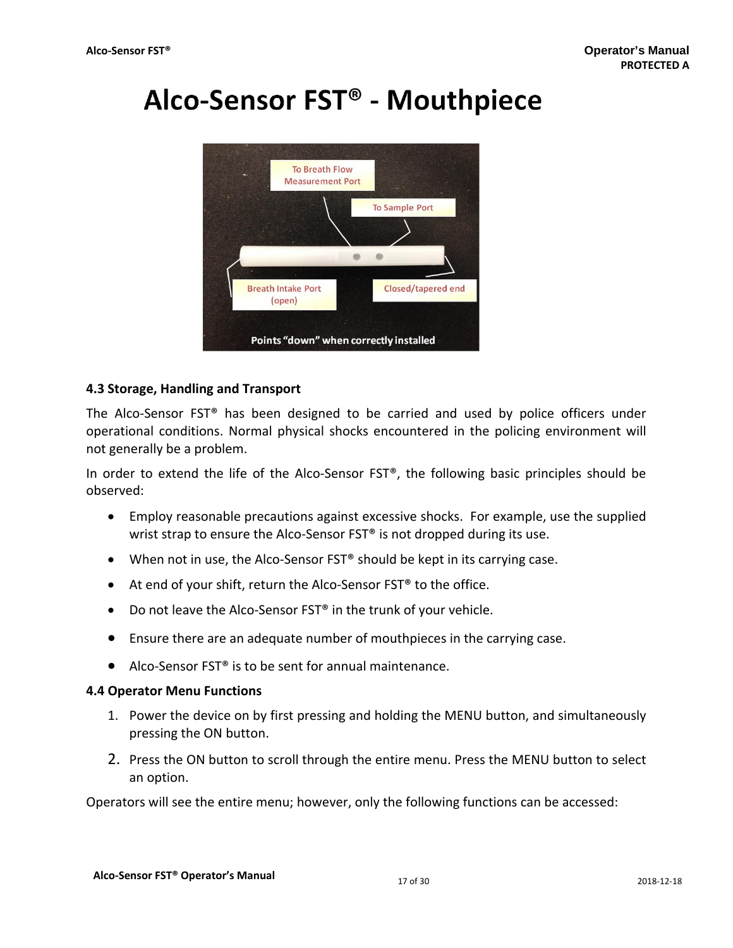# Alco-Sensor FST<sup>®</sup> - Mouthpiece



## **4.3 Storage, Handling and Transport**

The Alco-Sensor FST<sup>®</sup> has been designed to be carried and used by police officers under operational conditions. Normal physical shocks encountered in the policing environment will not generally be a problem.

In order to extend the life of the Alco-Sensor FST®, the following basic principles should be observed:

- Employ reasonable precautions against excessive shocks. For example, use the supplied wrist strap to ensure the Alco-Sensor FST<sup>®</sup> is not dropped during its use.
- When not in use, the Alco-Sensor FST<sup>®</sup> should be kept in its carrying case.
- At end of your shift, return the Alco-Sensor FST<sup>®</sup> to the office.
- Do not leave the Alco-Sensor FST<sup>®</sup> in the trunk of your vehicle.
- Ensure there are an adequate number of mouthpieces in the carrying case.
- Alco-Sensor FST<sup>®</sup> is to be sent for annual maintenance.

## **4.4 Operator Menu Functions**

- 1. Power the device on by first pressing and holding the MENU button, and simultaneously pressing the ON button.
- 2. Press the ON button to scroll through the entire menu. Press the MENU button to select an option.

Operators will see the entire menu; however, only the following functions can be accessed: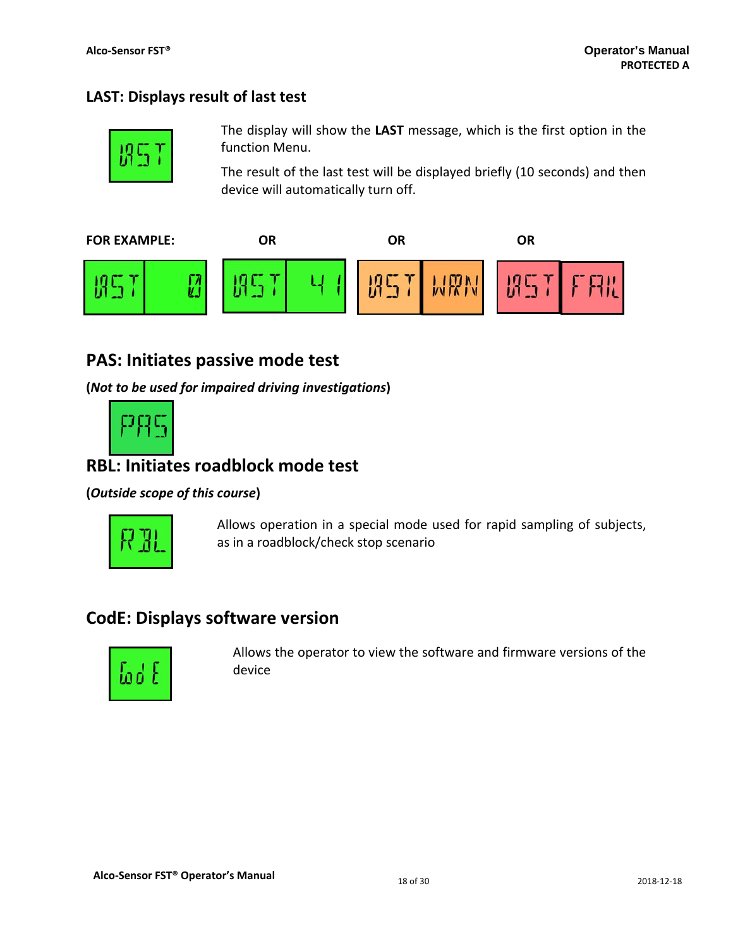## **LAST: Displays result of last test**



The display will show the **LAST** message, which is the first option in the function Menu.

The result of the last test will be displayed briefly (10 seconds) and then device will automatically turn off.



## **PAS: Initiates passive mode test**

**(***Not to be used for impaired driving investigations***)**



## **RBL: Initiates roadblock mode test**

## **(***Outside scope of this course***)**



Allows operation in a special mode used for rapid sampling of subjects, as in a roadblock/check stop scenario

## **CodE: Displays software version**



 Allows the operator to view the software and firmware versions of the device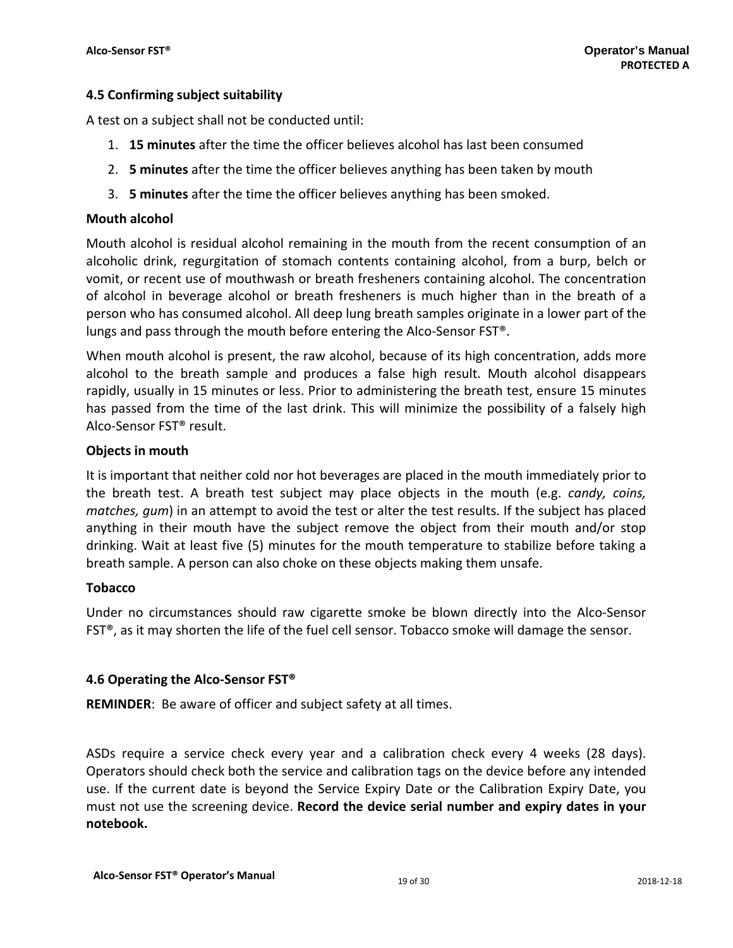## **4.5 Confirming subject suitability**

A test on a subject shall not be conducted until:

- 1. **15 minutes** after the time the officer believes alcohol has last been consumed
- 2. **5 minutes** after the time the officer believes anything has been taken by mouth
- 3. **5 minutes** after the time the officer believes anything has been smoked.

## **Mouth alcohol**

Mouth alcohol is residual alcohol remaining in the mouth from the recent consumption of an alcoholic drink, regurgitation of stomach contents containing alcohol, from a burp, belch or vomit, or recent use of mouthwash or breath fresheners containing alcohol. The concentration of alcohol in beverage alcohol or breath fresheners is much higher than in the breath of a person who has consumed alcohol. All deep lung breath samples originate in a lower part of the lungs and pass through the mouth before entering the Alco-Sensor FST<sup>®</sup>.

When mouth alcohol is present, the raw alcohol, because of its high concentration, adds more alcohol to the breath sample and produces a false high result. Mouth alcohol disappears rapidly, usually in 15 minutes or less. Prior to administering the breath test, ensure 15 minutes has passed from the time of the last drink. This will minimize the possibility of a falsely high Alco‐Sensor FST® result.

## **Objects in mouth**

It is important that neither cold nor hot beverages are placed in the mouth immediately prior to the breath test. A breath test subject may place objects in the mouth (e.g. *candy, coins, matches, gum*) in an attempt to avoid the test or alter the test results. If the subject has placed anything in their mouth have the subject remove the object from their mouth and/or stop drinking. Wait at least five (5) minutes for the mouth temperature to stabilize before taking a breath sample. A person can also choke on these objects making them unsafe.

## **Tobacco**

Under no circumstances should raw cigarette smoke be blown directly into the Alco‐Sensor FST®, as it may shorten the life of the fuel cell sensor. Tobacco smoke will damage the sensor.

## **4.6 Operating the Alco‐Sensor FST®**

**REMINDER**: Be aware of officer and subject safety at all times.

ASDs require a service check every year and a calibration check every 4 weeks (28 days). Operators should check both the service and calibration tags on the device before any intended use. If the current date is beyond the Service Expiry Date or the Calibration Expiry Date, you must not use the screening device. **Record the device serial number and expiry dates in your notebook.**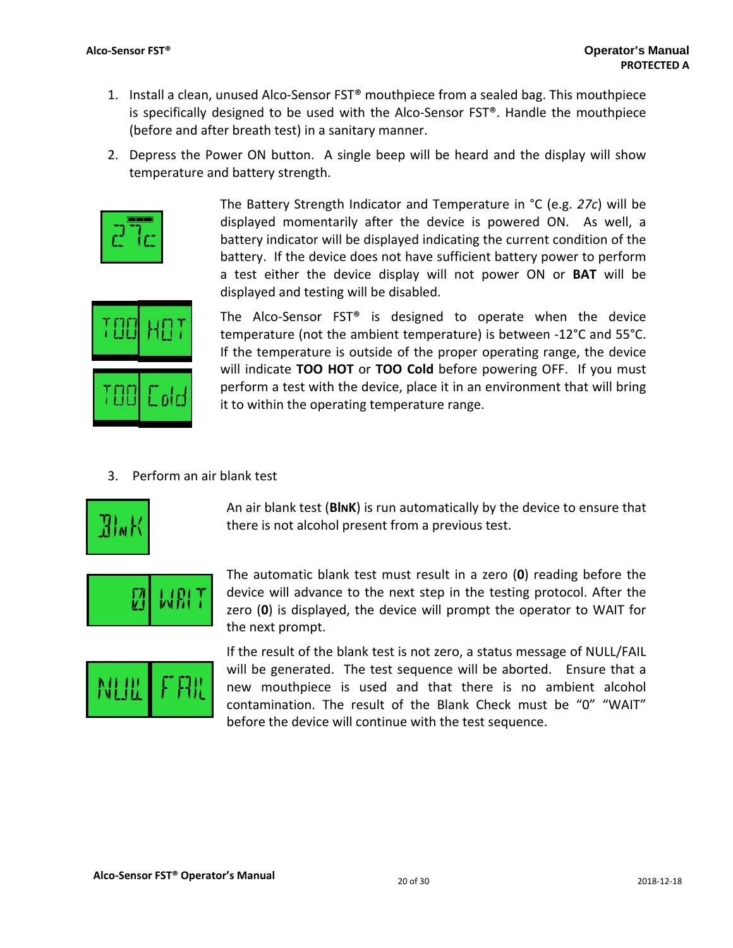- 1. Install a clean, unused Alco‐Sensor FST® mouthpiece from a sealed bag. This mouthpiece is specifically designed to be used with the Alco‐Sensor FST®. Handle the mouthpiece (before and after breath test) in a sanitary manner.
- 2. Depress the Power ON button. A single beep will be heard and the display will show temperature and battery strength.



The Battery Strength Indicator and Temperature in °C (e.g. *27c*) will be displayed momentarily after the device is powered ON. As well, a battery indicator will be displayed indicating the current condition of the battery. If the device does not have sufficient battery power to perform a test either the device display will not power ON or **BAT** will be displayed and testing will be disabled.



The Alco-Sensor FST<sup>®</sup> is designed to operate when the device temperature (not the ambient temperature) is between ‐12°C and 55°C. If the temperature is outside of the proper operating range, the device will indicate **TOO HOT** or **TOO Cold** before powering OFF. If you must perform a test with the device, place it in an environment that will bring it to within the operating temperature range.

3. Perform an air blank test



An air blank test (**BlNK**) is run automatically by the device to ensure that there is not alcohol present from a previous test.



The automatic blank test must result in a zero (**0**) reading before the device will advance to the next step in the testing protocol. After the zero (**0**) is displayed, the device will prompt the operator to WAIT for the next prompt.



If the result of the blank test is not zero, a status message of NULL/FAIL will be generated. The test sequence will be aborted. Ensure that a new mouthpiece is used and that there is no ambient alcohol contamination. The result of the Blank Check must be "0" "WAIT" before the device will continue with the test sequence.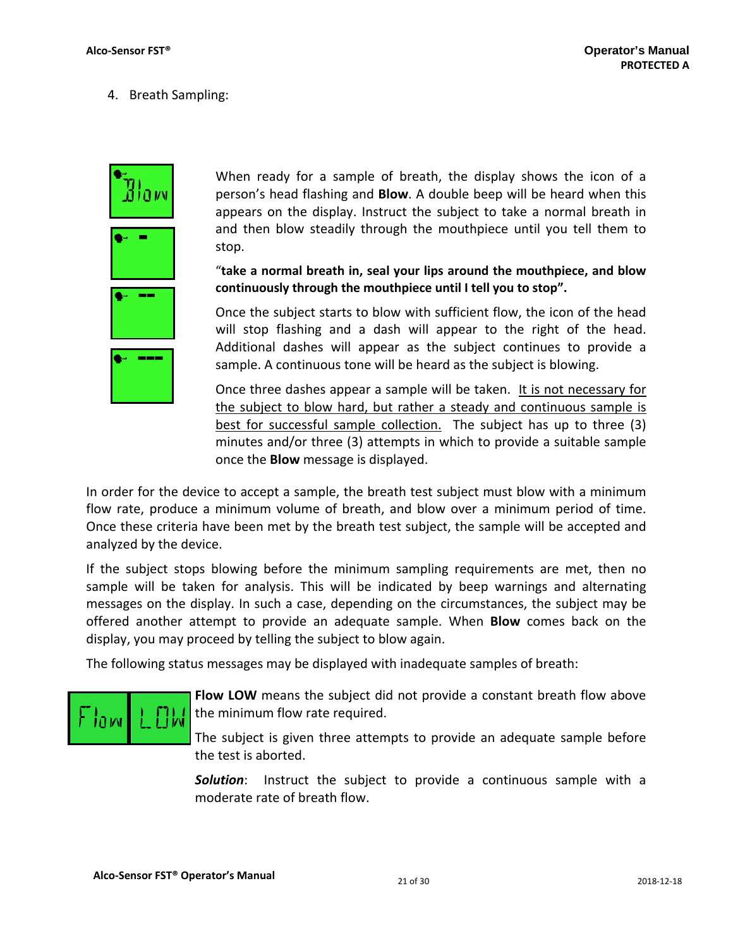4. Breath Sampling:



When ready for a sample of breath, the display shows the icon of a person's head flashing and **Blow**. A double beep will be heard when this appears on the display. Instruct the subject to take a normal breath in and then blow steadily through the mouthpiece until you tell them to stop.

"**take a normal breath in, seal your lips around the mouthpiece, and blow continuously through the mouthpiece until I tell you to stop".**

Once the subject starts to blow with sufficient flow, the icon of the head will stop flashing and a dash will appear to the right of the head. Additional dashes will appear as the subject continues to provide a sample. A continuous tone will be heard as the subject is blowing.

Once three dashes appear a sample will be taken. It is not necessary for the subject to blow hard, but rather a steady and continuous sample is best for successful sample collection. The subject has up to three (3) minutes and/or three (3) attempts in which to provide a suitable sample once the **Blow** message is displayed.

In order for the device to accept a sample, the breath test subject must blow with a minimum flow rate, produce a minimum volume of breath, and blow over a minimum period of time. Once these criteria have been met by the breath test subject, the sample will be accepted and analyzed by the device.

If the subject stops blowing before the minimum sampling requirements are met, then no sample will be taken for analysis. This will be indicated by beep warnings and alternating messages on the display. In such a case, depending on the circumstances, the subject may be offered another attempt to provide an adequate sample. When **Blow** comes back on the display, you may proceed by telling the subject to blow again.

The following status messages may be displayed with inadequate samples of breath:



**Flow LOW** means the subject did not provide a constant breath flow above the minimum flow rate required.

The subject is given three attempts to provide an adequate sample before the test is aborted.

*Solution*: Instruct the subject to provide a continuous sample with a moderate rate of breath flow.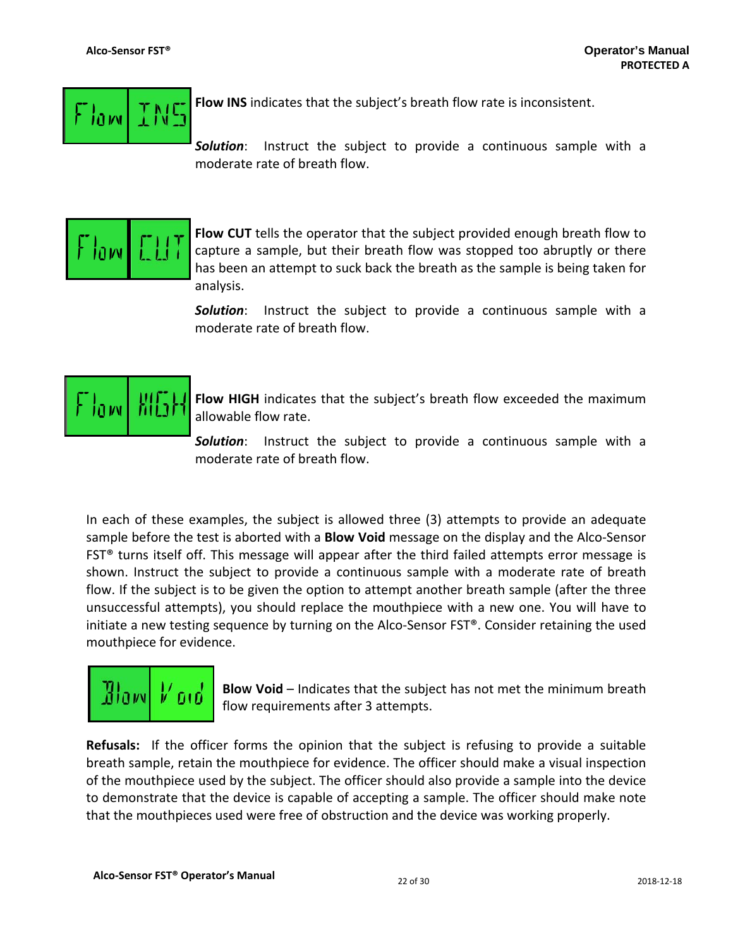

**Flow INS** indicates that the subject's breath flow rate is inconsistent.

*Solution*: Instruct the subject to provide a continuous sample with a moderate rate of breath flow.



**Flow CUT** tells the operator that the subject provided enough breath flow to capture a sample, but their breath flow was stopped too abruptly or there has been an attempt to suck back the breath as the sample is being taken for analysis.

*Solution*: Instruct the subject to provide a continuous sample with a moderate rate of breath flow.



**Flow HIGH** indicates that the subject's breath flow exceeded the maximum allowable flow rate.

*Solution*: Instruct the subject to provide a continuous sample with a moderate rate of breath flow.

In each of these examples, the subject is allowed three (3) attempts to provide an adequate sample before the test is aborted with a **Blow Void** message on the display and the Alco‐Sensor  $FST<sup>®</sup>$  turns itself off. This message will appear after the third failed attempts error message is shown. Instruct the subject to provide a continuous sample with a moderate rate of breath flow. If the subject is to be given the option to attempt another breath sample (after the three unsuccessful attempts), you should replace the mouthpiece with a new one. You will have to initiate a new testing sequence by turning on the Alco-Sensor FST®. Consider retaining the used mouthpiece for evidence.



**BloW Void** – Indicates that the subject has not met the minimum breath flow requirements after 3 attempts.

**Refusals:** If the officer forms the opinion that the subject is refusing to provide a suitable breath sample, retain the mouthpiece for evidence. The officer should make a visual inspection of the mouthpiece used by the subject. The officer should also provide a sample into the device to demonstrate that the device is capable of accepting a sample. The officer should make note that the mouthpieces used were free of obstruction and the device was working properly.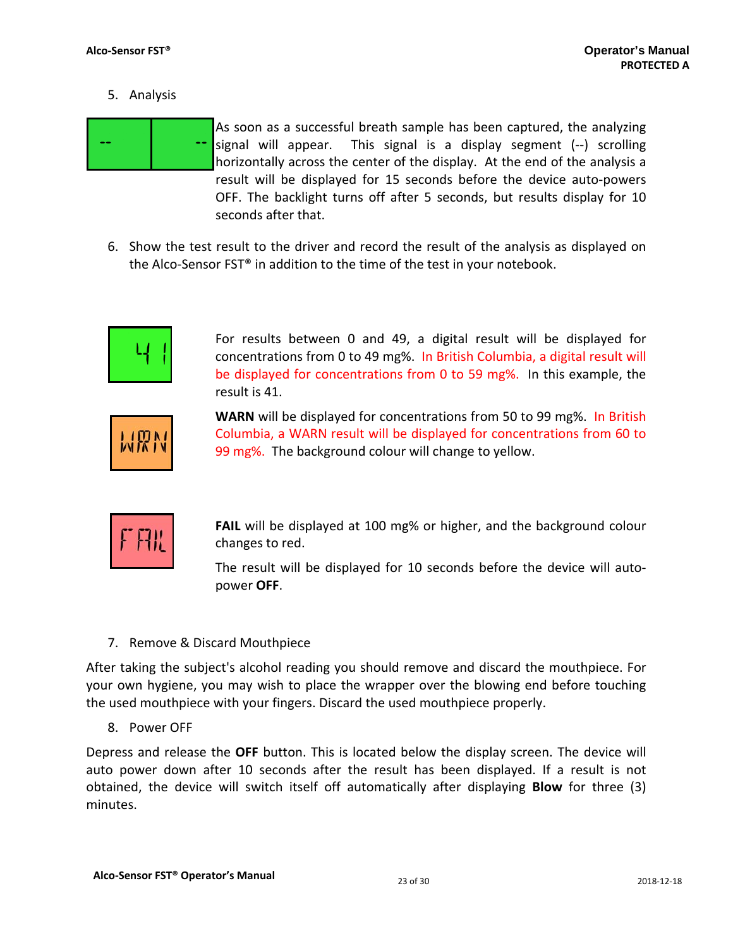5. Analysis



As soon as a successful breath sample has been captured, the analyzing signal will appear. This signal is a display segment (‐‐) scrolling horizontally across the center of the display. At the end of the analysis a result will be displayed for 15 seconds before the device auto‐powers OFF. The backlight turns off after 5 seconds, but results display for 10 seconds after that.

6. Show the test result to the driver and record the result of the analysis as displayed on the Alco-Sensor FST<sup>®</sup> in addition to the time of the test in your notebook.



For results between 0 and 49, a digital result will be displayed for concentrations from 0 to 49 mg%. In British Columbia, a digital result will be displayed for concentrations from 0 to 59 mg%. In this example, the result is 41.



**WARN** will be displayed for concentrations from 50 to 99 mg%. In British Columbia, a WARN result will be displayed for concentrations from 60 to 99 mg%. The background colour will change to yellow.



**FAIL** will be displayed at 100 mg% or higher, and the background colour changes to red.

The result will be displayed for 10 seconds before the device will autopower **OFF**.

7. Remove & Discard Mouthpiece

After taking the subject's alcohol reading you should remove and discard the mouthpiece. For your own hygiene, you may wish to place the wrapper over the blowing end before touching the used mouthpiece with your fingers. Discard the used mouthpiece properly.

8. Power OFF

Depress and release the **OFF** button. This is located below the display screen. The device will auto power down after 10 seconds after the result has been displayed. If a result is not obtained, the device will switch itself off automatically after displaying **Blow** for three (3) minutes.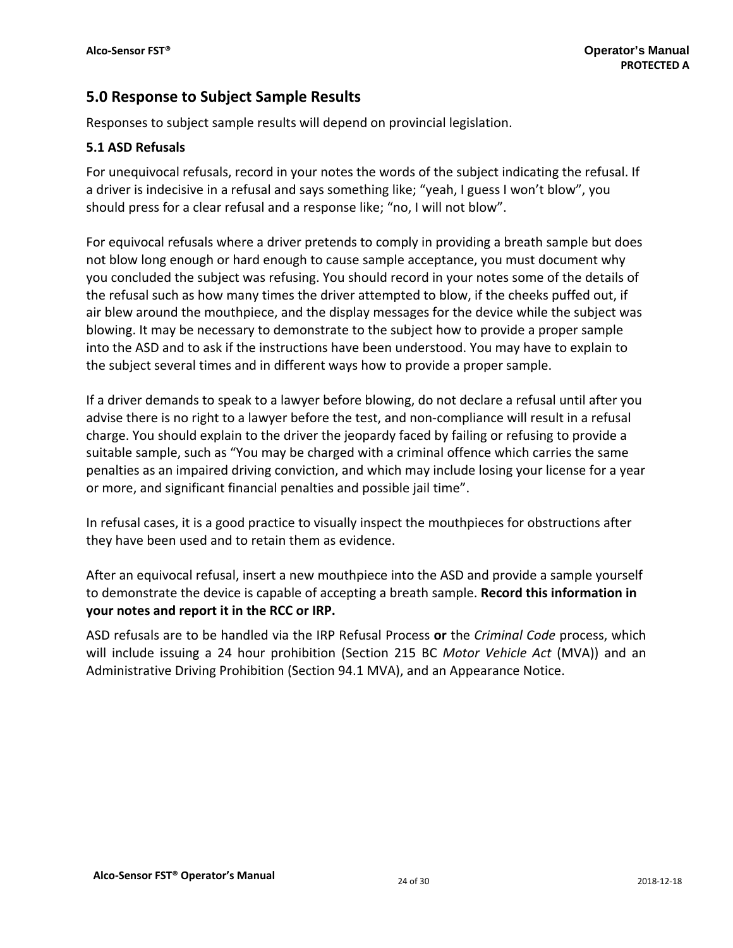## **5.0 Response to Subject Sample Results**

Responses to subject sample results will depend on provincial legislation.

## **5.1 ASD Refusals**

For unequivocal refusals, record in your notes the words of the subject indicating the refusal. If a driver is indecisive in a refusal and says something like; "yeah, I guess I won't blow", you should press for a clear refusal and a response like; "no, I will not blow".

For equivocal refusals where a driver pretends to comply in providing a breath sample but does not blow long enough or hard enough to cause sample acceptance, you must document why you concluded the subject was refusing. You should record in your notes some of the details of the refusal such as how many times the driver attempted to blow, if the cheeks puffed out, if air blew around the mouthpiece, and the display messages for the device while the subject was blowing. It may be necessary to demonstrate to the subject how to provide a proper sample into the ASD and to ask if the instructions have been understood. You may have to explain to the subject several times and in different ways how to provide a proper sample.

If a driver demands to speak to a lawyer before blowing, do not declare a refusal until after you advise there is no right to a lawyer before the test, and non‐compliance will result in a refusal charge. You should explain to the driver the jeopardy faced by failing or refusing to provide a suitable sample, such as "You may be charged with a criminal offence which carries the same penalties as an impaired driving conviction, and which may include losing your license for a year or more, and significant financial penalties and possible jail time".

In refusal cases, it is a good practice to visually inspect the mouthpieces for obstructions after they have been used and to retain them as evidence.

After an equivocal refusal, insert a new mouthpiece into the ASD and provide a sample yourself to demonstrate the device is capable of accepting a breath sample. **Record this information in your notes and report it in the RCC or IRP.**

ASD refusals are to be handled via the IRP Refusal Process **or** the *Criminal Code* process, which will include issuing a 24 hour prohibition (Section 215 BC *Motor Vehicle Act* (MVA)) and an Administrative Driving Prohibition (Section 94.1 MVA), and an Appearance Notice.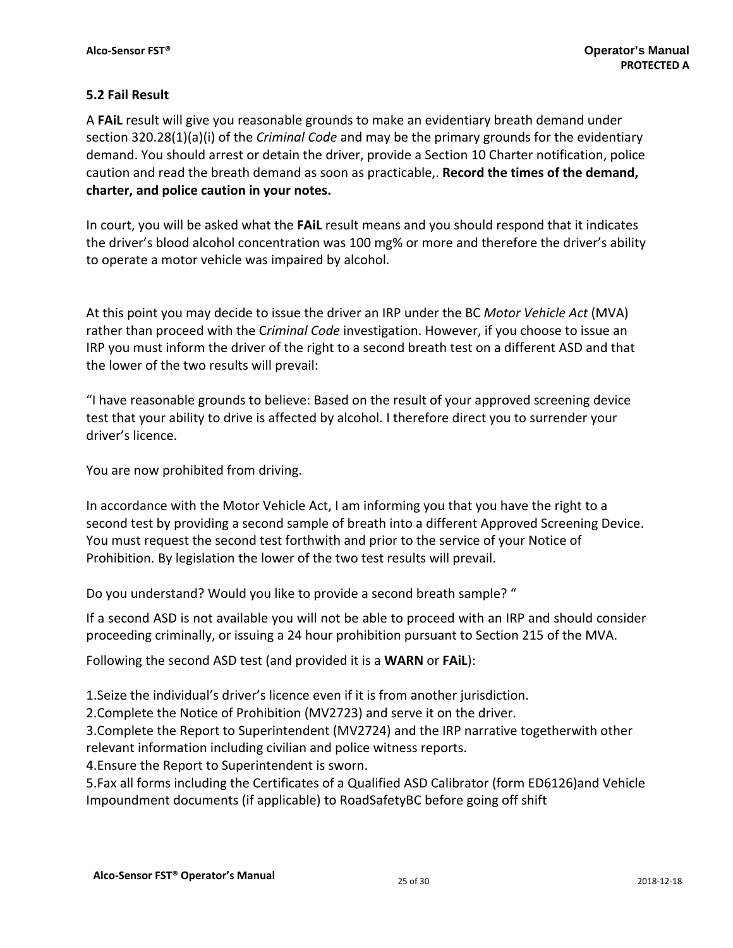## **5.2 Fail Result**

A **FAiL** result will give you reasonable grounds to make an evidentiary breath demand under section 320.28(1)(a)(i) of the *Criminal Code* and may be the primary grounds for the evidentiary demand. You should arrest or detain the driver, provide a Section 10 Charter notification, police caution and read the breath demand as soon as practicable,. **Record the times of the demand, charter, and police caution in your notes.** 

In court, you will be asked what the **FAiL** result means and you should respond that it indicates the driver's blood alcohol concentration was 100 mg% or more and therefore the driver's ability to operate a motor vehicle was impaired by alcohol.

At this point you may decide to issue the driver an IRP under the BC *Motor Vehicle Act* (MVA) rather than proceed with the C*riminal Code* investigation. However, if you choose to issue an IRP you must inform the driver of the right to a second breath test on a different ASD and that the lower of the two results will prevail:

"I have reasonable grounds to believe: Based on the result of your approved screening device test that your ability to drive is affected by alcohol. I therefore direct you to surrender your driver's licence.

You are now prohibited from driving.

In accordance with the Motor Vehicle Act, I am informing you that you have the right to a second test by providing a second sample of breath into a different Approved Screening Device. You must request the second test forthwith and prior to the service of your Notice of Prohibition. By legislation the lower of the two test results will prevail.

Do you understand? Would you like to provide a second breath sample? "

If a second ASD is not available you will not be able to proceed with an IRP and should consider proceeding criminally, or issuing a 24 hour prohibition pursuant to Section 215 of the MVA.

Following the second ASD test (and provided it is a **WARN** or **FAiL**):

1.Seize the individual's driver's licence even if it is from another jurisdiction.

2.Complete the Notice of Prohibition (MV2723) and serve it on the driver.

3.Complete the Report to Superintendent (MV2724) and the IRP narrative togetherwith other relevant information including civilian and police witness reports.

4.Ensure the Report to Superintendent is sworn.

5.Fax all forms including the Certificates of a Qualified ASD Calibrator (form ED6126)and Vehicle Impoundment documents (if applicable) to RoadSafetyBC before going off shift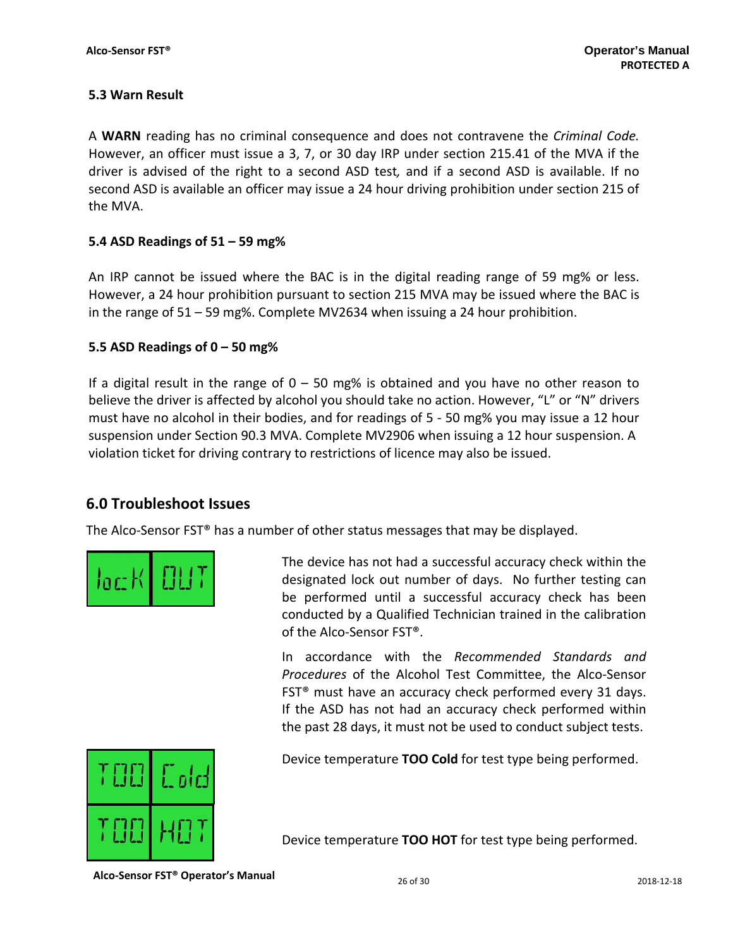## **5.3 Warn Result**

A **WARN** reading has no criminal consequence and does not contravene the *Criminal Code.* However, an officer must issue a 3, 7, or 30 day IRP under section 215.41 of the MVA if the driver is advised of the right to a second ASD test*,* and if a second ASD is available. If no second ASD is available an officer may issue a 24 hour driving prohibition under section 215 of the MVA.

## **5.4 ASD Readings of 51 – 59 mg%**

An IRP cannot be issued where the BAC is in the digital reading range of 59 mg% or less. However, a 24 hour prohibition pursuant to section 215 MVA may be issued where the BAC is in the range of 51 – 59 mg%. Complete MV2634 when issuing a 24 hour prohibition.

## **5.5 ASD Readings of 0 – 50 mg%**

If a digital result in the range of  $0 - 50$  mg% is obtained and you have no other reason to believe the driver is affected by alcohol you should take no action. However, "L" or "N" drivers must have no alcohol in their bodies, and for readings of 5 ‐ 50 mg% you may issue a 12 hour suspension under Section 90.3 MVA. Complete MV2906 when issuing a 12 hour suspension. A violation ticket for driving contrary to restrictions of licence may also be issued.

## **6.0 Troubleshoot Issues**

The Alco-Sensor FST<sup>®</sup> has a number of other status messages that may be displayed.



The device has not had a successful accuracy check within the designated lock out number of days. No further testing can be performed until a successful accuracy check has been conducted by a Qualified Technician trained in the calibration of the Alco‐Sensor FST®.

In accordance with the *Recommended Standards and Procedures* of the Alcohol Test Committee, the Alco‐Sensor FST® must have an accuracy check performed every 31 days. If the ASD has not had an accuracy check performed within the past 28 days, it must not be used to conduct subject tests.



Device temperature **TOO Cold** for test type being performed.

Device temperature **TOO HOT** for test type being performed.

**Alco‐Sensor FST® Operator's Manual** <sup>26</sup> of <sup>30</sup> <sup>2018</sup>‐12‐<sup>18</sup>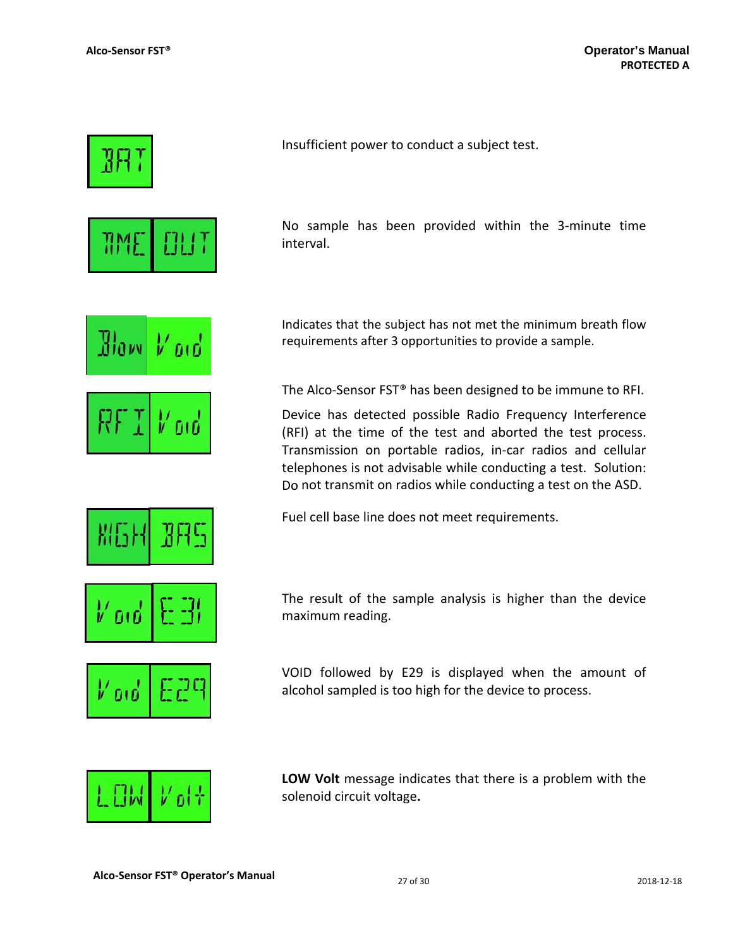

No sample has been provided within the 3‐minute time

Indicates that the subject has not met the minimum breath flow requirements after 3 opportunities to provide a sample.

The Alco-Sensor FST<sup>®</sup> has been designed to be immune to RFI.

Device has detected possible Radio Frequency Interference (RFI) at the time of the test and aborted the test process. Transmission on portable radios, in‐car radios and cellular telephones is not advisable while conducting a test. Solution: Do not transmit on radios while conducting a test on the ASD.

The result of the sample analysis is higher than the device

VOID followed by E29 is displayed when the amount of alcohol sampled is too high for the device to process.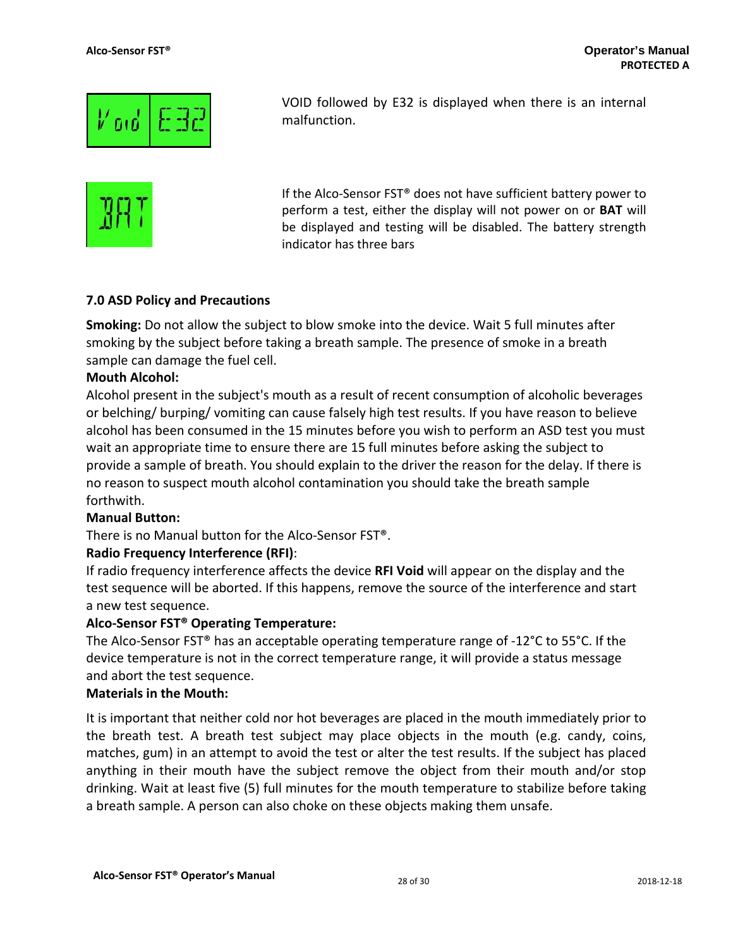

malfunction.



If the Alco-Sensor FST<sup>®</sup> does not have sufficient battery power to perform a test, either the display will not power on or **BAT** will be displayed and testing will be disabled. The battery strength indicator has three bars

VOID followed by E32 is displayed when there is an internal

## **7.0 ASD Policy and Precautions**

**Smoking:** Do not allow the subject to blow smoke into the device. Wait 5 full minutes after smoking by the subject before taking a breath sample. The presence of smoke in a breath sample can damage the fuel cell.

## **Mouth Alcohol:**

Alcohol present in the subject's mouth as a result of recent consumption of alcoholic beverages or belching/ burping/ vomiting can cause falsely high test results. If you have reason to believe alcohol has been consumed in the 15 minutes before you wish to perform an ASD test you must wait an appropriate time to ensure there are 15 full minutes before asking the subject to provide a sample of breath. You should explain to the driver the reason for the delay. If there is no reason to suspect mouth alcohol contamination you should take the breath sample forthwith.

## **Manual Button:**

There is no Manual button for the Alco‐Sensor FST®.

## **Radio Frequency Interference (RFI)**:

If radio frequency interference affects the device **RFI Void** will appear on the display and the test sequence will be aborted. If this happens, remove the source of the interference and start a new test sequence.

## **Alco‐Sensor FST® Operating Temperature:**

The Alco-Sensor FST<sup>®</sup> has an acceptable operating temperature range of -12<sup>°</sup>C to 55<sup>°</sup>C. If the device temperature is not in the correct temperature range, it will provide a status message and abort the test sequence.

## **Materials in the Mouth:**

It is important that neither cold nor hot beverages are placed in the mouth immediately prior to the breath test. A breath test subject may place objects in the mouth (e.g. candy, coins, matches, gum) in an attempt to avoid the test or alter the test results. If the subject has placed anything in their mouth have the subject remove the object from their mouth and/or stop drinking. Wait at least five (5) full minutes for the mouth temperature to stabilize before taking a breath sample. A person can also choke on these objects making them unsafe.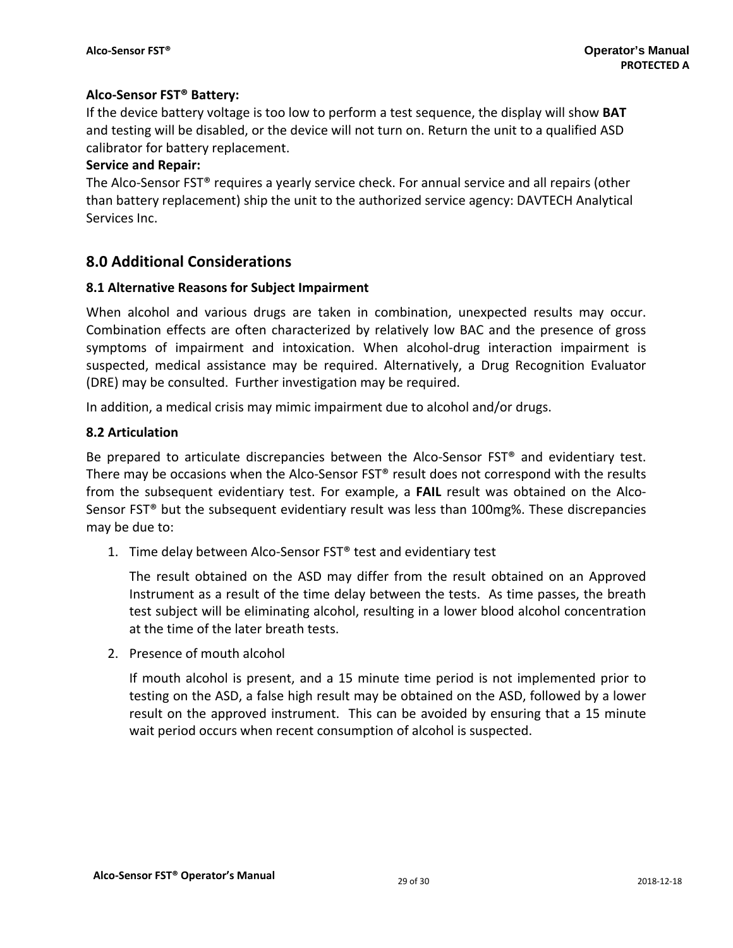## **Alco‐Sensor FST® Battery:**

If the device battery voltage is too low to perform a test sequence, the display will show **BAT** and testing will be disabled, or the device will not turn on. Return the unit to a qualified ASD calibrator for battery replacement.

## **Service and Repair:**

The Alco-Sensor FST<sup>®</sup> requires a yearly service check. For annual service and all repairs (other than battery replacement) ship the unit to the authorized service agency: DAVTECH Analytical Services Inc.

## **8.0 Additional Considerations**

## **8.1 Alternative Reasons for Subject Impairment**

When alcohol and various drugs are taken in combination, unexpected results may occur. Combination effects are often characterized by relatively low BAC and the presence of gross symptoms of impairment and intoxication. When alcohol-drug interaction impairment is suspected, medical assistance may be required. Alternatively, a Drug Recognition Evaluator (DRE) may be consulted. Further investigation may be required.

In addition, a medical crisis may mimic impairment due to alcohol and/or drugs.

## **8.2 Articulation**

Be prepared to articulate discrepancies between the Alco-Sensor FST<sup>®</sup> and evidentiary test. There may be occasions when the Alco-Sensor  $FST^*$  result does not correspond with the results from the subsequent evidentiary test. For example, a **FAIL** result was obtained on the Alco-Sensor FST® but the subsequent evidentiary result was less than 100mg%. These discrepancies may be due to:

1. Time delay between Alco-Sensor FST® test and evidentiary test

The result obtained on the ASD may differ from the result obtained on an Approved Instrument as a result of the time delay between the tests. As time passes, the breath test subject will be eliminating alcohol, resulting in a lower blood alcohol concentration at the time of the later breath tests.

2. Presence of mouth alcohol

If mouth alcohol is present, and a 15 minute time period is not implemented prior to testing on the ASD, a false high result may be obtained on the ASD, followed by a lower result on the approved instrument. This can be avoided by ensuring that a 15 minute wait period occurs when recent consumption of alcohol is suspected.